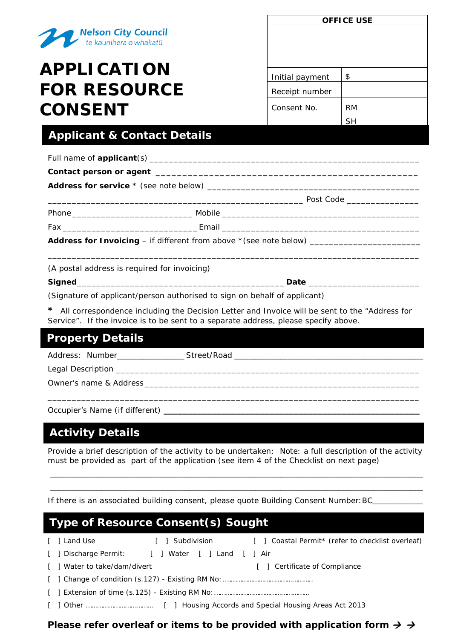

# **APPLICATION FOR RESOURCE CONSENT**

| <b>OFFICE USE</b> |           |  |  |  |
|-------------------|-----------|--|--|--|
|                   |           |  |  |  |
|                   |           |  |  |  |
|                   |           |  |  |  |
|                   |           |  |  |  |
|                   |           |  |  |  |
| Initial payment   | \$        |  |  |  |
| Receipt number    |           |  |  |  |
| Consent No.       | <b>RM</b> |  |  |  |
|                   | ςн        |  |  |  |

## **Applicant & Contact Details**

| (A postal address is required for invoicing) |                                                                                     |                                                                                                 |  |  |  |  |  |
|----------------------------------------------|-------------------------------------------------------------------------------------|-------------------------------------------------------------------------------------------------|--|--|--|--|--|
|                                              |                                                                                     |                                                                                                 |  |  |  |  |  |
|                                              | (Signature of applicant/person authorised to sign on behalf of applicant)           |                                                                                                 |  |  |  |  |  |
|                                              | Service". If the invoice is to be sent to a separate address, please specify above. | * All correspondence including the Decision Letter and Invoice will be sent to the "Address for |  |  |  |  |  |

| <b>Property Details</b> |                                |  |  |  |
|-------------------------|--------------------------------|--|--|--|
| Address: Number         | Street/Road __________________ |  |  |  |
|                         |                                |  |  |  |
|                         |                                |  |  |  |

Occupier's Name (if different) \_

## **Activity Details**

*Provide a brief description of the activity to be undertaken; Note: a full description of the activity must be provided as part of the application (see item 4 of the Checklist on next page)*

\_\_\_\_\_\_\_\_\_\_\_\_\_\_\_\_\_\_\_\_\_\_\_\_\_\_\_\_\_\_\_\_\_\_\_\_\_\_\_\_\_\_\_\_\_\_\_\_\_\_\_\_\_\_\_\_\_\_\_\_\_\_\_\_\_\_\_\_\_\_\_\_\_\_\_\_\_\_\_\_\_\_\_\_\_\_\_\_\_ \_\_\_\_\_\_\_\_\_\_\_\_\_\_\_\_\_\_\_\_\_\_\_\_\_\_\_\_\_\_\_\_\_\_\_\_\_\_\_\_\_\_\_\_\_\_\_\_\_\_\_\_\_\_\_\_\_\_\_\_\_\_\_\_\_\_\_\_\_\_\_\_\_\_\_\_\_\_\_\_\_\_\_\_\_\_\_\_\_

*If there is an associated building consent, please quote Building Consent Number: BC\_* 

### **Type of Resource Consent(s) Sought**

| [ ] Land Use                 | [ ] Subdivision                                  | [ ] Coastal Permit* (refer to checklist overleaf) |  |  |
|------------------------------|--------------------------------------------------|---------------------------------------------------|--|--|
|                              | [ ] Discharge Permit: [ ] Water [ ] Land [ ] Air |                                                   |  |  |
| [ ] Water to take/dam/divert |                                                  | [ ] Certificate of Compliance                     |  |  |
|                              |                                                  |                                                   |  |  |
|                              |                                                  |                                                   |  |  |
|                              |                                                  |                                                   |  |  |

*Please refer overleaf or items to be provided with application form*  $\rightarrow$   $\rightarrow$